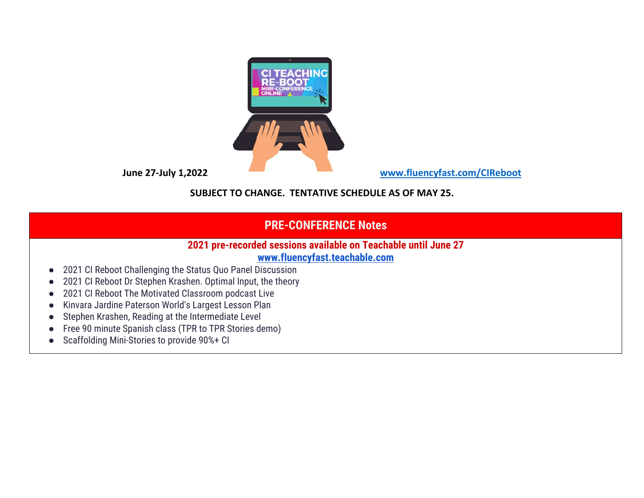

**June 27-July 1,2022 [www.fluencyfast.com/CIReboot](http://www.fluencyfast.com/CIReboot)**

### **SUBJECT TO CHANGE. TENTATIVE SCHEDULE AS OF MAY 25.**

# **PRE-CONFERENCE Notes**

## **2021 pre-recorded sessions available on Teachable until June 27**

#### **[www.fluencyfast.teachable.com](http://www.fluencyfast.teachable.com/)**

- 2021 CI Reboot Challenging the Status Quo Panel Discussion
- 2021 CI Reboot Dr Stephen Krashen. Optimal Input, the theory
- 2021 CI Reboot The Motivated Classroom podcast Live
- Kinvara Jardine Paterson World's Largest Lesson Plan
- Stephen Krashen, Reading at the Intermediate Level
- Free 90 minute Spanish class (TPR to TPR Stories demo)
- Scaffolding Mini-Stories to provide 90%+ CI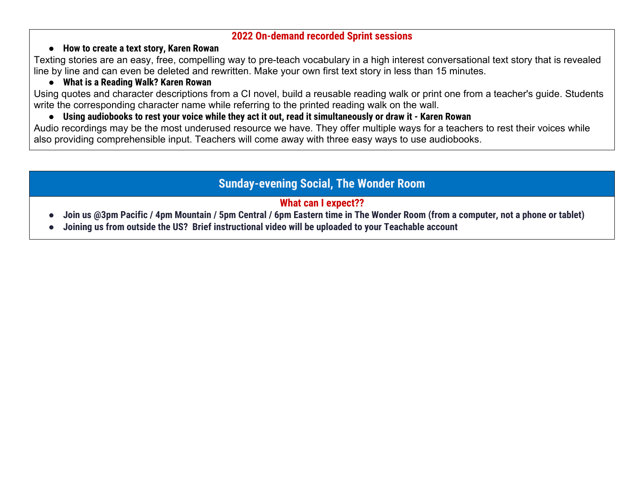#### **2022 On-demand recorded Sprint sessions**

#### ● **How to create a text story, Karen Rowan**

Texting stories are an easy, free, compelling way to pre-teach vocabulary in a high interest conversational text story that is revealed line by line and can even be deleted and rewritten. Make your own first text story in less than 15 minutes.

#### ● **What is a Reading Walk? Karen Rowan**

Using quotes and character descriptions from a CI novel, build a reusable reading walk or print one from a teacher's guide. Students write the corresponding character name while referring to the printed reading walk on the wall.

#### • Using audiobooks to rest your voice while they act it out, read it simultaneously or draw it - Karen Rowan

Audio recordings may be the most underused resource we have. They offer multiple ways for a teachers to rest their voices while also providing comprehensible input. Teachers will come away with three easy ways to use audiobooks.

## **Sunday-evening Social, The Wonder Room**

## **What can I expect??**

- Join us @3pm Pacific / 4pm Mountain / 5pm Central / 6pm Eastern time in The Wonder Room (from a computer, not a phone or tablet)
- **● Joining us from outside the US? Brief instructional video will be uploaded to your Teachable account**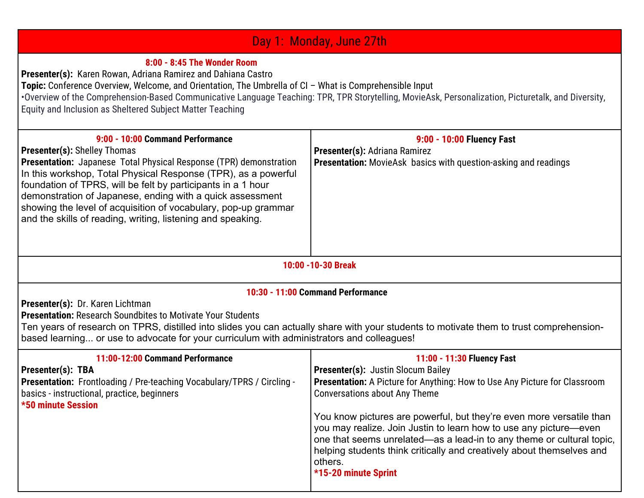#### Day 1: Monday, June 27th **8:00 - 8:45 The Wonder Room Presenter(s):** Karen Rowan, Adriana Ramirez and Dahiana Castro **Topic:** Conference Overview, Welcome, and Orientation, The Umbrella of CI – What is Comprehensible Input •Overview of the Comprehension-Based Communicative Language Teaching: TPR, TPR Storytelling, MovieAsk, Personalization, Picturetalk, and Diversity, Equity and Inclusion as Sheltered Subject Matter Teaching **9:00 - 10:00 Command Performance Presenter(s):** Shelley Thomas **Presentation:** Japanese Total Physical Response (TPR) demonstration In this workshop, Total Physical Response (TPR), as a powerful foundation of TPRS, will be felt by participants in a 1 hour demonstration of Japanese, ending with a quick assessment showing the level of acquisition of vocabulary, pop-up grammar and the skills of reading, writing, listening and speaking. **9:00 - 10:00 Fluency Fast Presenter(s):** Adriana Ramirez **Presentation:** MovieAsk basics with question-asking and readings **10:00 -10-30 Break 10:30 - 11:00 Command Performance / Presenter(s):** Dr. Karen Lichtman **Presentation:** Research Soundbites to Motivate Your Students Ten years of research on TPRS, distilled into slides you can actually share with your students to motivate them to trust comprehensionbased learning... or use to advocate for your curriculum with administrators and colleagues! **11:00-12:00 Command Performance Presenter(s): TBA Presentation:** Frontloading / Pre-teaching Vocabulary/TPRS / Circling basics - instructional, practice, beginners **\*50 minute Session 11:00 - 11:30 Fluency Fast Presenter(s):** Justin Slocum Bailey **Presentation:** A Picture for Anything: How to Use Any Picture for Classroom Conversations about Any Theme You know pictures are powerful, but they're even more versatile than you may realize. Join Justin to learn how to use any picture—even one that seems unrelated—as a lead-in to any theme or cultural topic, helping students think critically and creatively about themselves and others. **\*15-20 minute Sprint**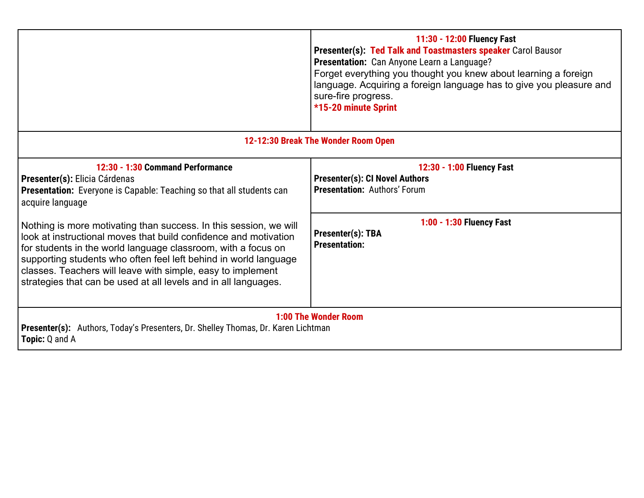|                                                                                                                                                                                                                                                                                                                                                                                                              | 11:30 - 12:00 Fluency Fast<br>Presenter(s): Ted Talk and Toastmasters speaker Carol Bausor<br>Presentation: Can Anyone Learn a Language?<br>Forget everything you thought you knew about learning a foreign<br>language. Acquiring a foreign language has to give you pleasure and<br>sure-fire progress.<br>*15-20 minute Sprint |  |
|--------------------------------------------------------------------------------------------------------------------------------------------------------------------------------------------------------------------------------------------------------------------------------------------------------------------------------------------------------------------------------------------------------------|-----------------------------------------------------------------------------------------------------------------------------------------------------------------------------------------------------------------------------------------------------------------------------------------------------------------------------------|--|
| 12-12:30 Break The Wonder Room Open                                                                                                                                                                                                                                                                                                                                                                          |                                                                                                                                                                                                                                                                                                                                   |  |
| 12:30 - 1:30 Command Performance<br>Presenter(s): Elicia Cárdenas<br><b>Presentation:</b> Everyone is Capable: Teaching so that all students can<br>acquire language                                                                                                                                                                                                                                         | 12:30 - 1:00 Fluency Fast<br><b>Presenter(s): CI Novel Authors</b><br><b>Presentation: Authors' Forum</b>                                                                                                                                                                                                                         |  |
| Nothing is more motivating than success. In this session, we will<br>look at instructional moves that build confidence and motivation<br>for students in the world language classroom, with a focus on<br>supporting students who often feel left behind in world language<br>classes. Teachers will leave with simple, easy to implement<br>strategies that can be used at all levels and in all languages. | 1:00 - 1:30 Fluency Fast<br>Presenter(s): TBA<br><b>Presentation:</b>                                                                                                                                                                                                                                                             |  |
| 1:00 The Wonder Room<br><b>Presenter(s):</b> Authors, Today's Presenters, Dr. Shelley Thomas, Dr. Karen Lichtman<br><b>Topic:</b> Q and A                                                                                                                                                                                                                                                                    |                                                                                                                                                                                                                                                                                                                                   |  |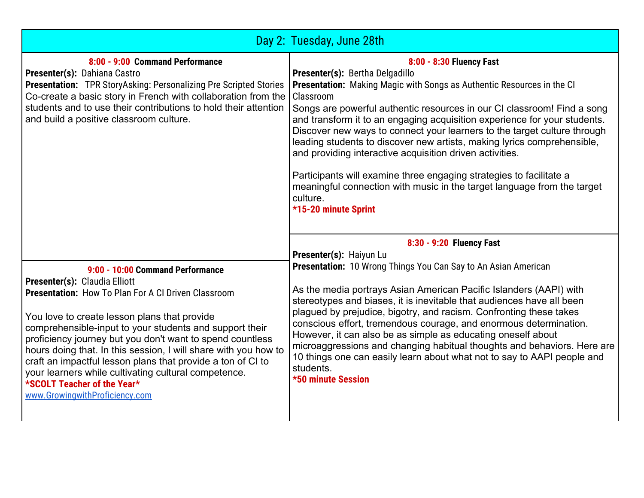|                                                                                                                                                                                                                                                                                                                                                                                                                                                                                                                                                                    | Day 2: Tuesday, June 28th                                                                                                                                                                                                                                                                                                                                                                                                                                                                                                                                                                                                                                                                                                  |
|--------------------------------------------------------------------------------------------------------------------------------------------------------------------------------------------------------------------------------------------------------------------------------------------------------------------------------------------------------------------------------------------------------------------------------------------------------------------------------------------------------------------------------------------------------------------|----------------------------------------------------------------------------------------------------------------------------------------------------------------------------------------------------------------------------------------------------------------------------------------------------------------------------------------------------------------------------------------------------------------------------------------------------------------------------------------------------------------------------------------------------------------------------------------------------------------------------------------------------------------------------------------------------------------------------|
| 8:00 - 9:00 Command Performance<br>Presenter(s): Dahiana Castro<br>Presentation: TPR StoryAsking: Personalizing Pre Scripted Stories<br>Co-create a basic story in French with collaboration from the<br>students and to use their contributions to hold their attention<br>and build a positive classroom culture.                                                                                                                                                                                                                                                | 8:00 - 8:30 Fluency Fast<br>Presenter(s): Bertha Delgadillo<br><b>Presentation:</b> Making Magic with Songs as Authentic Resources in the CI<br>Classroom<br>Songs are powerful authentic resources in our CI classroom! Find a song<br>and transform it to an engaging acquisition experience for your students.<br>Discover new ways to connect your learners to the target culture through<br>leading students to discover new artists, making lyrics comprehensible,<br>and providing interactive acquisition driven activities.<br>Participants will examine three engaging strategies to facilitate a<br>meaningful connection with music in the target language from the target<br>culture.<br>*15-20 minute Sprint |
| 9:00 - 10:00 Command Performance<br>Presenter(s): Claudia Elliott<br><b>Presentation: How To Plan For A CI Driven Classroom</b><br>You love to create lesson plans that provide<br>comprehensible-input to your students and support their<br>proficiency journey but you don't want to spend countless<br>hours doing that. In this session, I will share with you how to<br>craft an impactful lesson plans that provide a ton of CI to<br>your learners while cultivating cultural competence.<br>*SCOLT Teacher of the Year*<br>www.GrowingwithProficiency.com | 8:30 - 9:20 Fluency Fast<br>Presenter(s): Haiyun Lu<br><b>Presentation:</b> 10 Wrong Things You Can Say to An Asian American<br>As the media portrays Asian American Pacific Islanders (AAPI) with<br>stereotypes and biases, it is inevitable that audiences have all been<br>plagued by prejudice, bigotry, and racism. Confronting these takes<br>conscious effort, tremendous courage, and enormous determination.<br>However, it can also be as simple as educating oneself about<br>microaggressions and changing habitual thoughts and behaviors. Here are<br>10 things one can easily learn about what not to say to AAPI people and<br>students.<br><b>*50 minute Session</b>                                     |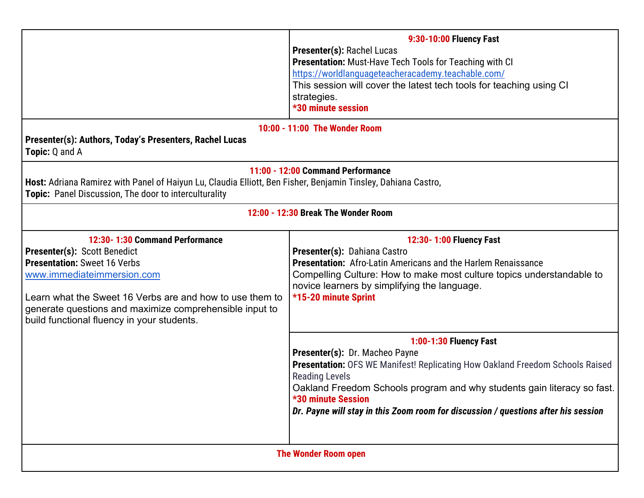|                                                                                                                                                                                                                                                                                                                 | 9:30-10:00 Fluency Fast<br><b>Presenter(s): Rachel Lucas</b><br><b>Presentation:</b> Must-Have Tech Tools for Teaching with CI<br>https://worldlanguageteacheracademy.teachable.com/<br>This session will cover the latest tech tools for teaching using CI<br>strategies.<br><b>*30 minute session</b>                                                          |  |  |
|-----------------------------------------------------------------------------------------------------------------------------------------------------------------------------------------------------------------------------------------------------------------------------------------------------------------|------------------------------------------------------------------------------------------------------------------------------------------------------------------------------------------------------------------------------------------------------------------------------------------------------------------------------------------------------------------|--|--|
| 10:00 - 11:00 The Wonder Room<br>Presenter(s): Authors, Today's Presenters, Rachel Lucas<br><b>Topic: Q and A</b>                                                                                                                                                                                               |                                                                                                                                                                                                                                                                                                                                                                  |  |  |
| 11:00 - 12:00 Command Performance<br>Host: Adriana Ramirez with Panel of Haiyun Lu, Claudia Elliott, Ben Fisher, Benjamin Tinsley, Dahiana Castro,<br>Topic: Panel Discussion, The door to interculturality                                                                                                     |                                                                                                                                                                                                                                                                                                                                                                  |  |  |
| 12:00 - 12:30 Break The Wonder Room                                                                                                                                                                                                                                                                             |                                                                                                                                                                                                                                                                                                                                                                  |  |  |
| 12:30-1:30 Command Performance<br><b>Presenter(s): Scott Benedict</b><br><b>Presentation: Sweet 16 Verbs</b><br>www.immediateimmersion.com<br>Learn what the Sweet 16 Verbs are and how to use them to<br>generate questions and maximize comprehensible input to<br>build functional fluency in your students. | 12:30-1:00 Fluency Fast<br>Presenter(s): Dahiana Castro<br>Presentation: Afro-Latin Americans and the Harlem Renaissance<br>Compelling Culture: How to make most culture topics understandable to<br>novice learners by simplifying the language.<br>*15-20 minute Sprint                                                                                        |  |  |
|                                                                                                                                                                                                                                                                                                                 | 1:00-1:30 Fluency Fast<br>Presenter(s): Dr. Macheo Payne<br>Presentation: OFS WE Manifest! Replicating How Oakland Freedom Schools Raised<br><b>Reading Levels</b><br>Oakland Freedom Schools program and why students gain literacy so fast.<br><b>*30 minute Session</b><br>Dr. Payne will stay in this Zoom room for discussion / questions after his session |  |  |
| <b>The Wonder Room open</b>                                                                                                                                                                                                                                                                                     |                                                                                                                                                                                                                                                                                                                                                                  |  |  |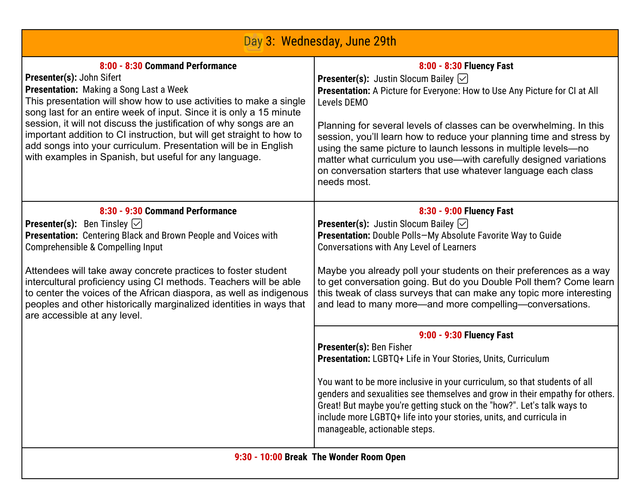| Day 3: Wednesday, June 29th                                                                                                                                                                                                                                                                                                                                                                                                                                                                                                             |                                                                                                                                                                                                                                                                                                                                                                                                                                                                                                                                                                                                                                                                                                                                                                                                                                                       |  |
|-----------------------------------------------------------------------------------------------------------------------------------------------------------------------------------------------------------------------------------------------------------------------------------------------------------------------------------------------------------------------------------------------------------------------------------------------------------------------------------------------------------------------------------------|-------------------------------------------------------------------------------------------------------------------------------------------------------------------------------------------------------------------------------------------------------------------------------------------------------------------------------------------------------------------------------------------------------------------------------------------------------------------------------------------------------------------------------------------------------------------------------------------------------------------------------------------------------------------------------------------------------------------------------------------------------------------------------------------------------------------------------------------------------|--|
| 8:00 - 8:30 Command Performance<br>Presenter(s): John Sifert<br><b>Presentation:</b> Making a Song Last a Week<br>This presentation will show how to use activities to make a single<br>song last for an entire week of input. Since it is only a 15 minute<br>session, it will not discuss the justification of why songs are an<br>important addition to CI instruction, but will get straight to how to<br>add songs into your curriculum. Presentation will be in English<br>with examples in Spanish, but useful for any language. | 8:00 - 8:30 Fluency Fast<br><b>Presenter(s):</b> Justin Slocum Bailey $\oslash$<br>Presentation: A Picture for Everyone: How to Use Any Picture for CI at All<br>Levels DEMO<br>Planning for several levels of classes can be overwhelming. In this<br>session, you'll learn how to reduce your planning time and stress by<br>using the same picture to launch lessons in multiple levels-no<br>matter what curriculum you use—with carefully designed variations<br>on conversation starters that use whatever language each class<br>needs most.                                                                                                                                                                                                                                                                                                   |  |
| 8:30 - 9:30 Command Performance<br><b>Presenter(s):</b> Ben Tinsley $\boxed{\smile}$<br>Presentation: Centering Black and Brown People and Voices with<br>Comprehensible & Compelling Input<br>Attendees will take away concrete practices to foster student<br>intercultural proficiency using CI methods. Teachers will be able<br>to center the voices of the African diaspora, as well as indigenous<br>peoples and other historically marginalized identities in ways that<br>are accessible at any level.                         | 8:30 - 9:00 Fluency Fast<br><b>Presenter(s):</b> Justin Slocum Bailey $\heartsuit$<br>Presentation: Double Polls-My Absolute Favorite Way to Guide<br><b>Conversations with Any Level of Learners</b><br>Maybe you already poll your students on their preferences as a way<br>to get conversation going. But do you Double Poll them? Come learn<br>this tweak of class surveys that can make any topic more interesting<br>and lead to many more—and more compelling—conversations.<br>9:00 - 9:30 Fluency Fast<br>Presenter(s): Ben Fisher<br>Presentation: LGBTQ+ Life in Your Stories, Units, Curriculum<br>You want to be more inclusive in your curriculum, so that students of all<br>genders and sexualities see themselves and grow in their empathy for others.<br>Great! But maybe you're getting stuck on the "how?". Let's talk ways to |  |
|                                                                                                                                                                                                                                                                                                                                                                                                                                                                                                                                         | include more LGBTQ+ life into your stories, units, and curricula in<br>manageable, actionable steps.<br>9:30 - 10:00 Break The Wonder Room Open                                                                                                                                                                                                                                                                                                                                                                                                                                                                                                                                                                                                                                                                                                       |  |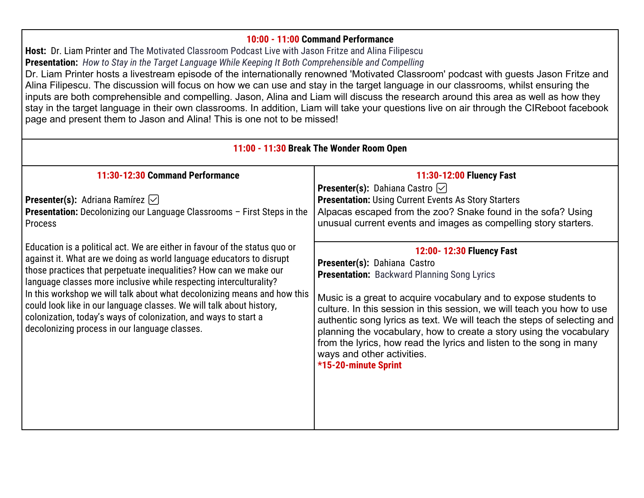#### **10:00 - 11:00 Command Performance**

**Host:** Dr. Liam Printer and The Motivated Classroom Podcast Live with Jason Fritze and Alina Filipescu **Presentation:** *How to Stay in the Target Language While Keeping It Both Comprehensible and Compelling*

Dr. Liam Printer hosts a livestream episode of the internationally renowned 'Motivated Classroom' podcast with guests Jason Fritze and Alina Filipescu. The discussion will focus on how we can use and stay in the target language in our classrooms, whilst ensuring the inputs are both comprehensible and compelling. Jason, Alina and Liam will discuss the research around this area as well as how they stay in the target language in their own classrooms. In addition, Liam will take your questions live on air through the CIReboot facebook page and present them to Jason and Alina! This is one not to be missed!

| 11:00 - 11:30 Break The Wonder Room Open                                                                                                                                                                                                                                                                                                                                                                                                                                                                                                                              |                                                                                                                                                                                                                                                                                                                                                                                                                                                                                                                                             |  |
|-----------------------------------------------------------------------------------------------------------------------------------------------------------------------------------------------------------------------------------------------------------------------------------------------------------------------------------------------------------------------------------------------------------------------------------------------------------------------------------------------------------------------------------------------------------------------|---------------------------------------------------------------------------------------------------------------------------------------------------------------------------------------------------------------------------------------------------------------------------------------------------------------------------------------------------------------------------------------------------------------------------------------------------------------------------------------------------------------------------------------------|--|
| 11:30-12:30 Command Performance                                                                                                                                                                                                                                                                                                                                                                                                                                                                                                                                       | 11:30-12:00 Fluency Fast                                                                                                                                                                                                                                                                                                                                                                                                                                                                                                                    |  |
| <b>Presenter(s):</b> Adriana Ramírez $\vee$<br><b>Presentation:</b> Decolonizing our Language Classrooms - First Steps in the<br><b>Process</b>                                                                                                                                                                                                                                                                                                                                                                                                                       | <b>Presenter(s):</b> Dahiana Castro $\boxed{\smile}$<br><b>Presentation: Using Current Events As Story Starters</b><br>Alpacas escaped from the zoo? Snake found in the sofa? Using<br>unusual current events and images as compelling story starters.                                                                                                                                                                                                                                                                                      |  |
| Education is a political act. We are either in favour of the status quo or<br>against it. What are we doing as world language educators to disrupt<br>those practices that perpetuate inequalities? How can we make our<br>language classes more inclusive while respecting interculturality?<br>In this workshop we will talk about what decolonizing means and how this<br>could look like in our language classes. We will talk about history,<br>colonization, today's ways of colonization, and ways to start a<br>decolonizing process in our language classes. | 12:00-12:30 Fluency Fast<br>Presenter(s): Dahiana Castro<br><b>Presentation:</b> Backward Planning Song Lyrics<br>Music is a great to acquire vocabulary and to expose students to<br>culture. In this session in this session, we will teach you how to use<br>authentic song lyrics as text. We will teach the steps of selecting and<br>planning the vocabulary, how to create a story using the vocabulary<br>from the lyrics, how read the lyrics and listen to the song in many<br>ways and other activities.<br>*15-20-minute Sprint |  |